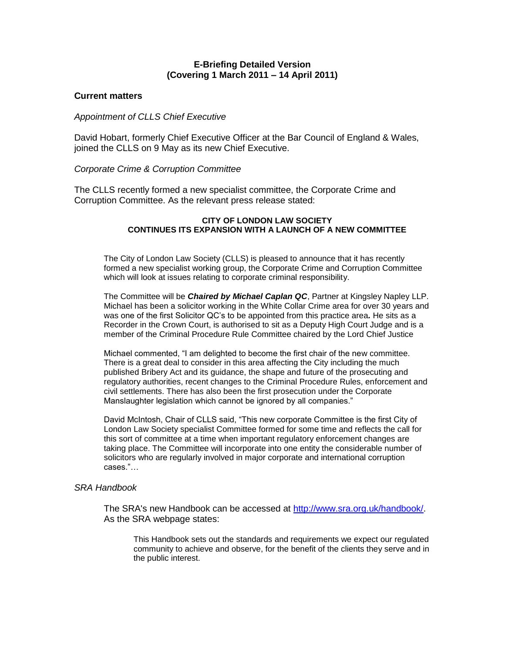## **E-Briefing Detailed Version (Covering 1 March 2011 – 14 April 2011)**

## **Current matters**

### *Appointment of CLLS Chief Executive*

David Hobart, formerly Chief Executive Officer at the Bar Council of England & Wales, joined the CLLS on 9 May as its new Chief Executive.

## *Corporate Crime & Corruption Committee*

The CLLS recently formed a new specialist committee, the Corporate Crime and Corruption Committee. As the relevant press release stated:

## **CITY OF LONDON LAW SOCIETY CONTINUES ITS EXPANSION WITH A LAUNCH OF A NEW COMMITTEE**

The City of London Law Society (CLLS) is pleased to announce that it has recently formed a new specialist working group, the Corporate Crime and Corruption Committee which will look at issues relating to corporate criminal responsibility.

The Committee will be *Chaired by Michael Caplan QC*, Partner at Kingsley Napley LLP. Michael has been a solicitor working in the White Collar Crime area for over 30 years and was one of the first Solicitor QC's to be appointed from this practice area*.* He sits as a Recorder in the Crown Court, is authorised to sit as a Deputy High Court Judge and is a member of the Criminal Procedure Rule Committee chaired by the Lord Chief Justice

Michael commented, "I am delighted to become the first chair of the new committee. There is a great deal to consider in this area affecting the City including the much published Bribery Act and its guidance, the shape and future of the prosecuting and regulatory authorities, recent changes to the Criminal Procedure Rules, enforcement and civil settlements. There has also been the first prosecution under the Corporate Manslaughter legislation which cannot be ignored by all companies."

David McIntosh, Chair of CLLS said, "This new corporate Committee is the first City of London Law Society specialist Committee formed for some time and reflects the call for this sort of committee at a time when important regulatory enforcement changes are taking place. The Committee will incorporate into one entity the considerable number of solicitors who are regularly involved in major corporate and international corruption cases."…

### *SRA Handbook*

The SRA's new Handbook can be accessed at [http://www.sra.org.uk/handbook/.](http://www.sra.org.uk/handbook/) As the SRA webpage states:

This Handbook sets out the standards and requirements we expect our regulated community to achieve and observe, for the benefit of the clients they serve and in the public interest.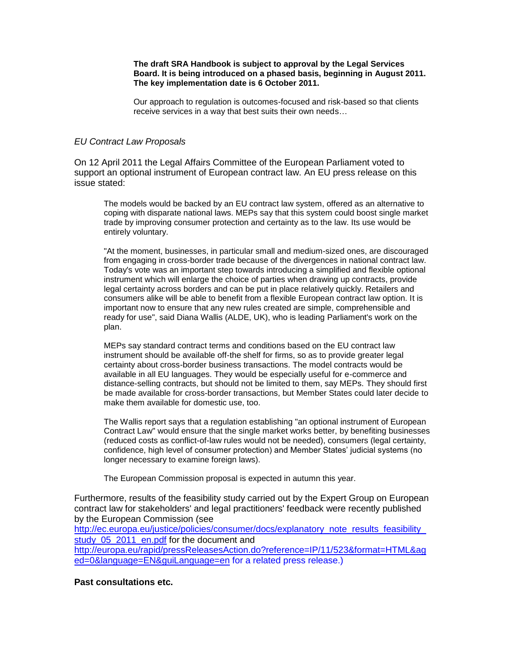#### **The draft SRA Handbook is subject to approval by the Legal Services Board. It is being introduced on a phased basis, beginning in August 2011. The key implementation date is 6 October 2011.**

Our approach to regulation is outcomes-focused and risk-based so that clients receive services in a way that best suits their own needs…

## *EU Contract Law Proposals*

On 12 April 2011 the Legal Affairs Committee of the European Parliament voted to support an optional instrument of European contract law. An EU press release on this issue stated:

The models would be backed by an EU contract law system, offered as an alternative to coping with disparate national laws. MEPs say that this system could boost single market trade by improving consumer protection and certainty as to the law. Its use would be entirely voluntary.

"At the moment, businesses, in particular small and medium-sized ones, are discouraged from engaging in cross-border trade because of the divergences in national contract law. Today's vote was an important step towards introducing a simplified and flexible optional instrument which will enlarge the choice of parties when drawing up contracts, provide legal certainty across borders and can be put in place relatively quickly. Retailers and consumers alike will be able to benefit from a flexible European contract law option. It is important now to ensure that any new rules created are simple, comprehensible and ready for use", said Diana Wallis (ALDE, UK), who is leading Parliament's work on the plan.

MEPs say standard contract terms and conditions based on the EU contract law instrument should be available off-the shelf for firms, so as to provide greater legal certainty about cross-border business transactions. The model contracts would be available in all EU languages. They would be especially useful for e-commerce and distance-selling contracts, but should not be limited to them, say MEPs. They should first be made available for cross-border transactions, but Member States could later decide to make them available for domestic use, too.

The Wallis report says that a regulation establishing "an optional instrument of European Contract Law" would ensure that the single market works better, by benefiting businesses (reduced costs as conflict-of-law rules would not be needed), consumers (legal certainty, confidence, high level of consumer protection) and Member States' judicial systems (no longer necessary to examine foreign laws).

The European Commission proposal is expected in autumn this year.

Furthermore, results of the feasibility study carried out by the Expert Group on European contract law for stakeholders' and legal practitioners' feedback were recently published by the European Commission (see

[http://ec.europa.eu/justice/policies/consumer/docs/explanatory\\_note\\_results\\_feasibility\\_](http://ec.europa.eu/justice/policies/consumer/docs/explanatory_note_results_feasibility_study_05_2011_en.pdf) study<sup>05</sup><sub>2011</sub> en.pdf for the document and

[http://europa.eu/rapid/pressReleasesAction.do?reference=IP/11/523&format=HTML&ag](http://europa.eu/rapid/pressReleasesAction.do?reference=IP/11/523&format=HTML&aged=0&language=EN&guiLanguage=en) [ed=0&language=EN&guiLanguage=en](http://europa.eu/rapid/pressReleasesAction.do?reference=IP/11/523&format=HTML&aged=0&language=EN&guiLanguage=en) for a related press release.)

**Past consultations etc.**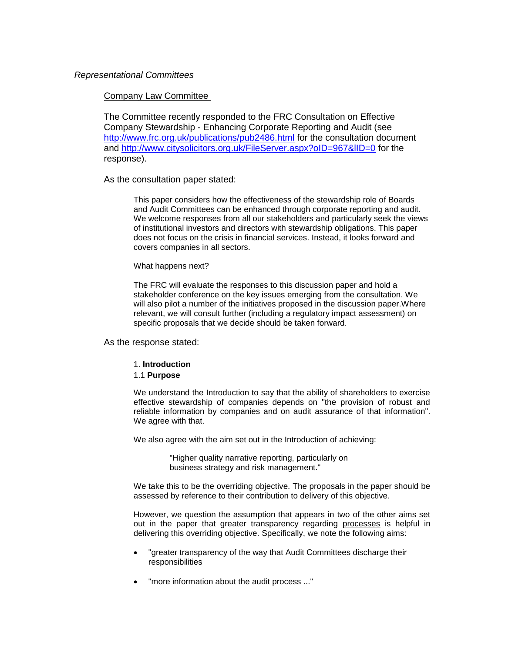## *Representational Committees*

#### Company Law Committee

The Committee recently responded to the FRC Consultation on Effective Company Stewardship - Enhancing Corporate Reporting and Audit (see <http://www.frc.org.uk/publications/pub2486.html> for the consultation document and<http://www.citysolicitors.org.uk/FileServer.aspx?oID=967&lID=0> for the response).

As the consultation paper stated:

This paper considers how the effectiveness of the stewardship role of Boards and Audit Committees can be enhanced through corporate reporting and audit. We welcome responses from all our stakeholders and particularly seek the views of institutional investors and directors with stewardship obligations. This paper does not focus on the crisis in financial services. Instead, it looks forward and covers companies in all sectors.

#### What happens next?

The FRC will evaluate the responses to this discussion paper and hold a stakeholder conference on the key issues emerging from the consultation. We will also pilot a number of the initiatives proposed in the discussion paper.Where relevant, we will consult further (including a regulatory impact assessment) on specific proposals that we decide should be taken forward.

As the response stated:

#### 1. **Introduction**

### 1.1 **Purpose**

We understand the Introduction to say that the ability of shareholders to exercise effective stewardship of companies depends on "the provision of robust and reliable information by companies and on audit assurance of that information". We agree with that.

We also agree with the aim set out in the Introduction of achieving:

"Higher quality narrative reporting, particularly on business strategy and risk management."

We take this to be the overriding objective. The proposals in the paper should be assessed by reference to their contribution to delivery of this objective.

However, we question the assumption that appears in two of the other aims set out in the paper that greater transparency regarding processes is helpful in delivering this overriding objective. Specifically, we note the following aims:

- "greater transparency of the way that Audit Committees discharge their responsibilities
- "more information about the audit process ..."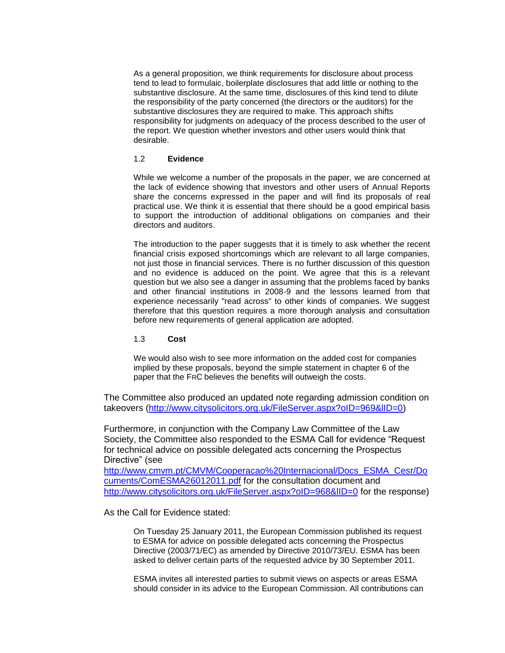As a general proposition, we think requirements for disclosure about process tend to lead to formulaic, boilerplate disclosures that add little or nothing to the substantive disclosure. At the same time, disclosures of this kind tend to dilute the responsibility of the party concerned (the directors or the auditors) for the substantive disclosures they are required to make. This approach shifts responsibility for judgments on adequacy of the process described to the user of the report. We question whether investors and other users would think that desirable.

### 1.2 **Evidence**

While we welcome a number of the proposals in the paper, we are concerned at the lack of evidence showing that investors and other users of Annual Reports share the concerns expressed in the paper and will find its proposals of real practical use. We think it is essential that there should be a good empirical basis to support the introduction of additional obligations on companies and their directors and auditors.

The introduction to the paper suggests that it is timely to ask whether the recent financial crisis exposed shortcomings which are relevant to all large companies, not just those in financial services. There is no further discussion of this question and no evidence is adduced on the point. We agree that this is a relevant question but we also see a danger in assuming that the problems faced by banks and other financial institutions in 2008-9 and the lessons learned from that experience necessarily "read across" to other kinds of companies. We suggest therefore that this question requires a more thorough analysis and consultation before new requirements of general application are adopted.

## 1.3 **Cost**

We would also wish to see more information on the added cost for companies implied by these proposals, beyond the simple statement in chapter 6 of the paper that the FRC believes the benefits will outweigh the costs.

The Committee also produced an updated note regarding admission condition on takeovers [\(http://www.citysolicitors.org.uk/FileServer.aspx?oID=969&lID=0\)](http://www.citysolicitors.org.uk/FileServer.aspx?oID=969&lID=0)

Furthermore, in conjunction with the Company Law Committee of the Law Society, the Committee also responded to the ESMA Call for evidence "Request for technical advice on possible delegated acts concerning the Prospectus Directive" (see

[http://www.cmvm.pt/CMVM/Cooperacao%20Internacional/Docs\\_ESMA\\_Cesr/Do](http://www.cmvm.pt/CMVM/Cooperacao%20Internacional/Docs_ESMA_Cesr/Documents/ComESMA26012011.pdf) [cuments/ComESMA26012011.pdf](http://www.cmvm.pt/CMVM/Cooperacao%20Internacional/Docs_ESMA_Cesr/Documents/ComESMA26012011.pdf) for the consultation document and http://www.citysolicitors.org.uk/FileServer.aspx?oID=968&IID=0 for the response)

As the Call for Evidence stated:

On Tuesday 25 January 2011, the European Commission published its request to ESMA for advice on possible delegated acts concerning the Prospectus Directive (2003/71/EC) as amended by Directive 2010/73/EU. ESMA has been asked to deliver certain parts of the requested advice by 30 September 2011.

ESMA invites all interested parties to submit views on aspects or areas ESMA should consider in its advice to the European Commission. All contributions can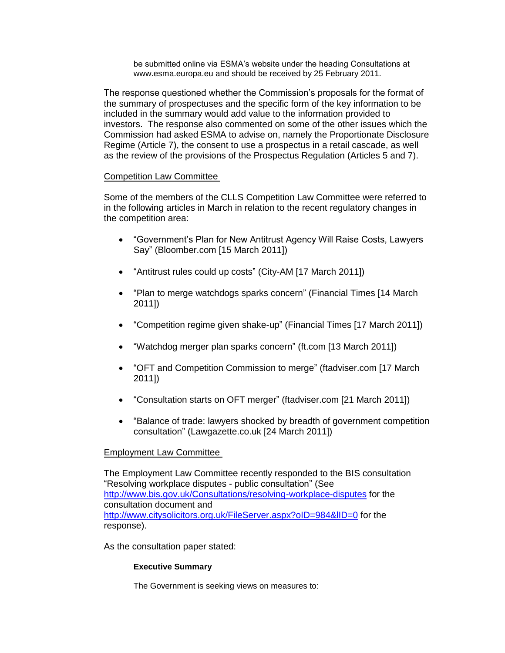be submitted online via ESMA's website under the heading Consultations at www.esma.europa.eu and should be received by 25 February 2011.

The response questioned whether the Commission's proposals for the format of the summary of prospectuses and the specific form of the key information to be included in the summary would add value to the information provided to investors. The response also commented on some of the other issues which the Commission had asked ESMA to advise on, namely the Proportionate Disclosure Regime (Article 7), the consent to use a prospectus in a retail cascade, as well as the review of the provisions of the Prospectus Regulation (Articles 5 and 7).

# Competition Law Committee

Some of the members of the CLLS Competition Law Committee were referred to in the following articles in March in relation to the recent regulatory changes in the competition area:

- "Government's Plan for New Antitrust Agency Will Raise Costs, Lawyers Say" (Bloomber.com [15 March 2011])
- "Antitrust rules could up costs" (City-AM [17 March 2011])
- "Plan to merge watchdogs sparks concern" (Financial Times [14 March 2011])
- "Competition regime given shake-up" (Financial Times [17 March 2011])
- "Watchdog merger plan sparks concern" (ft.com [13 March 2011])
- "OFT and Competition Commission to merge" (ftadviser.com [17 March 2011])
- "Consultation starts on OFT merger" (ftadviser.com [21 March 2011])
- "Balance of trade: lawyers shocked by breadth of government competition consultation" (Lawgazette.co.uk [24 March 2011])

# Employment Law Committee

The Employment Law Committee recently responded to the BIS consultation "Resolving workplace disputes - public consultation" (See <http://www.bis.gov.uk/Consultations/resolving-workplace-disputes> for the consultation document and <http://www.citysolicitors.org.uk/FileServer.aspx?oID=984&lID=0> for the response).

As the consultation paper stated:

## **Executive Summary**

The Government is seeking views on measures to: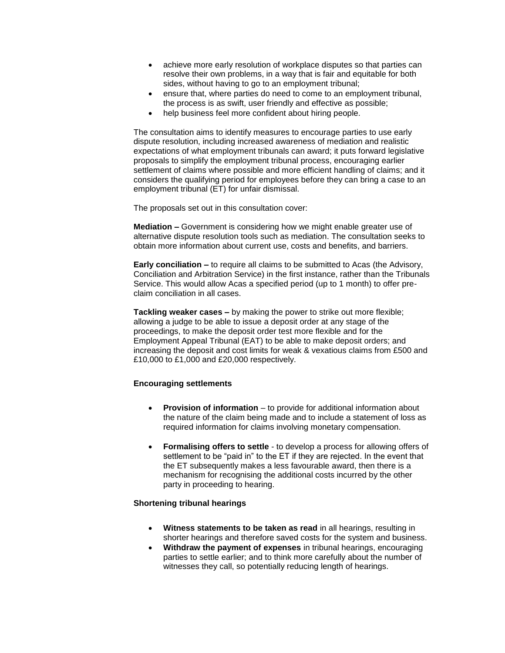- achieve more early resolution of workplace disputes so that parties can resolve their own problems, in a way that is fair and equitable for both sides, without having to go to an employment tribunal;
- ensure that, where parties do need to come to an employment tribunal, the process is as swift, user friendly and effective as possible;
- help business feel more confident about hiring people.

The consultation aims to identify measures to encourage parties to use early dispute resolution, including increased awareness of mediation and realistic expectations of what employment tribunals can award; it puts forward legislative proposals to simplify the employment tribunal process, encouraging earlier settlement of claims where possible and more efficient handling of claims; and it considers the qualifying period for employees before they can bring a case to an employment tribunal (ET) for unfair dismissal.

The proposals set out in this consultation cover:

**Mediation –** Government is considering how we might enable greater use of alternative dispute resolution tools such as mediation. The consultation seeks to obtain more information about current use, costs and benefits, and barriers.

**Early conciliation –** to require all claims to be submitted to Acas (the Advisory, Conciliation and Arbitration Service) in the first instance, rather than the Tribunals Service. This would allow Acas a specified period (up to 1 month) to offer preclaim conciliation in all cases.

**Tackling weaker cases –** by making the power to strike out more flexible; allowing a judge to be able to issue a deposit order at any stage of the proceedings, to make the deposit order test more flexible and for the Employment Appeal Tribunal (EAT) to be able to make deposit orders; and increasing the deposit and cost limits for weak & vexatious claims from £500 and £10,000 to £1,000 and £20,000 respectively.

### **Encouraging settlements**

- **Provision of information** to provide for additional information about the nature of the claim being made and to include a statement of loss as required information for claims involving monetary compensation.
- **Formalising offers to settle**  to develop a process for allowing offers of settlement to be "paid in" to the ET if they are rejected. In the event that the ET subsequently makes a less favourable award, then there is a mechanism for recognising the additional costs incurred by the other party in proceeding to hearing.

### **Shortening tribunal hearings**

- **Witness statements to be taken as read** in all hearings, resulting in shorter hearings and therefore saved costs for the system and business.
- **Withdraw the payment of expenses** in tribunal hearings, encouraging parties to settle earlier; and to think more carefully about the number of witnesses they call, so potentially reducing length of hearings.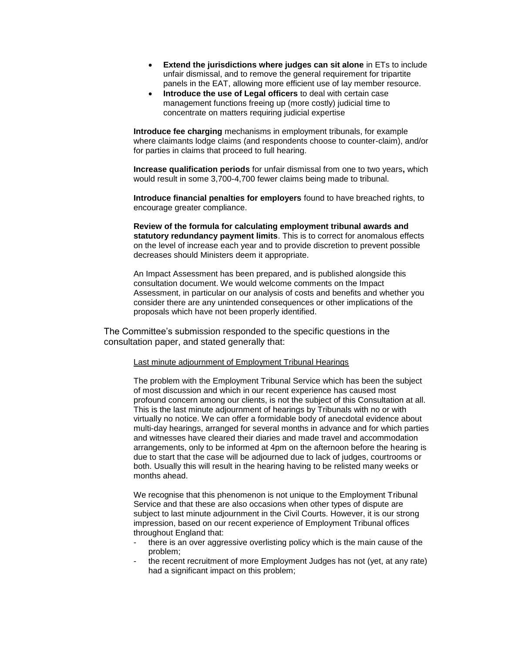- **Extend the jurisdictions where judges can sit alone** in ETs to include unfair dismissal, and to remove the general requirement for tripartite panels in the EAT, allowing more efficient use of lay member resource.
- **Introduce the use of Legal officers** to deal with certain case management functions freeing up (more costly) judicial time to concentrate on matters requiring judicial expertise

**Introduce fee charging** mechanisms in employment tribunals, for example where claimants lodge claims (and respondents choose to counter-claim), and/or for parties in claims that proceed to full hearing.

**Increase qualification periods** for unfair dismissal from one to two years**,** which would result in some 3,700-4,700 fewer claims being made to tribunal.

**Introduce financial penalties for employers** found to have breached rights, to encourage greater compliance.

**Review of the formula for calculating employment tribunal awards and statutory redundancy payment limits**. This is to correct for anomalous effects on the level of increase each year and to provide discretion to prevent possible decreases should Ministers deem it appropriate.

An Impact Assessment has been prepared, and is published alongside this consultation document. We would welcome comments on the Impact Assessment, in particular on our analysis of costs and benefits and whether you consider there are any unintended consequences or other implications of the proposals which have not been properly identified.

The Committee's submission responded to the specific questions in the consultation paper, and stated generally that:

#### Last minute adjournment of Employment Tribunal Hearings

The problem with the Employment Tribunal Service which has been the subject of most discussion and which in our recent experience has caused most profound concern among our clients, is not the subject of this Consultation at all. This is the last minute adjournment of hearings by Tribunals with no or with virtually no notice. We can offer a formidable body of anecdotal evidence about multi-day hearings, arranged for several months in advance and for which parties and witnesses have cleared their diaries and made travel and accommodation arrangements, only to be informed at 4pm on the afternoon before the hearing is due to start that the case will be adjourned due to lack of judges, courtrooms or both. Usually this will result in the hearing having to be relisted many weeks or months ahead.

We recognise that this phenomenon is not unique to the Employment Tribunal Service and that these are also occasions when other types of dispute are subject to last minute adjournment in the Civil Courts. However, it is our strong impression, based on our recent experience of Employment Tribunal offices throughout England that:

- there is an over aggressive overlisting policy which is the main cause of the problem;
- the recent recruitment of more Employment Judges has not (yet, at any rate) had a significant impact on this problem;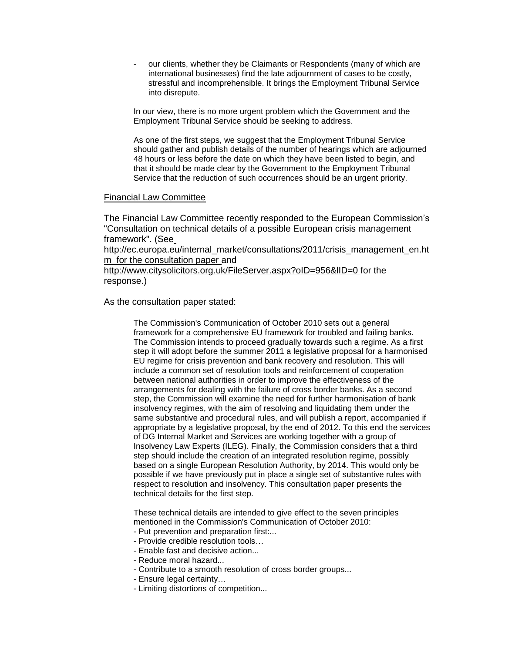our clients, whether they be Claimants or Respondents (many of which are international businesses) find the late adjournment of cases to be costly, stressful and incomprehensible. It brings the Employment Tribunal Service into disrepute.

In our view, there is no more urgent problem which the Government and the Employment Tribunal Service should be seeking to address.

As one of the first steps, we suggest that the Employment Tribunal Service should gather and publish details of the number of hearings which are adjourned 48 hours or less before the date on which they have been listed to begin, and that it should be made clear by the Government to the Employment Tribunal Service that the reduction of such occurrences should be an urgent priority.

## Financial Law Committee

The Financial Law Committee recently responded to the European Commission's "Consultation on technical details of a possible European crisis management framework". (See

http://ec.europa.eu/internal\_market/consultations/2011/crisis\_management\_en.ht m for the consultation paper and

http://www.citysolicitors.org.uk/FileServer.aspx?oID=956&lID=0 for the response.)

As the consultation paper stated:

The Commission's Communication of October 2010 sets out a general framework for a comprehensive EU framework for troubled and failing banks. The Commission intends to proceed gradually towards such a regime. As a first step it will adopt before the summer 2011 a legislative proposal for a harmonised EU regime for crisis prevention and bank recovery and resolution. This will include a common set of resolution tools and reinforcement of cooperation between national authorities in order to improve the effectiveness of the arrangements for dealing with the failure of cross border banks. As a second step, the Commission will examine the need for further harmonisation of bank insolvency regimes, with the aim of resolving and liquidating them under the same substantive and procedural rules, and will publish a report, accompanied if appropriate by a legislative proposal, by the end of 2012. To this end the services of DG Internal Market and Services are working together with a group of Insolvency Law Experts (ILEG). Finally, the Commission considers that a third step should include the creation of an integrated resolution regime, possibly based on a single European Resolution Authority, by 2014. This would only be possible if we have previously put in place a single set of substantive rules with respect to resolution and insolvency. This consultation paper presents the technical details for the first step.

These technical details are intended to give effect to the seven principles mentioned in the Commission's Communication of October 2010:

- Put prevention and preparation first:...
- Provide credible resolution tools…
- Enable fast and decisive action...
- Reduce moral hazard...
- Contribute to a smooth resolution of cross border groups...
- Ensure legal certainty…
- Limiting distortions of competition...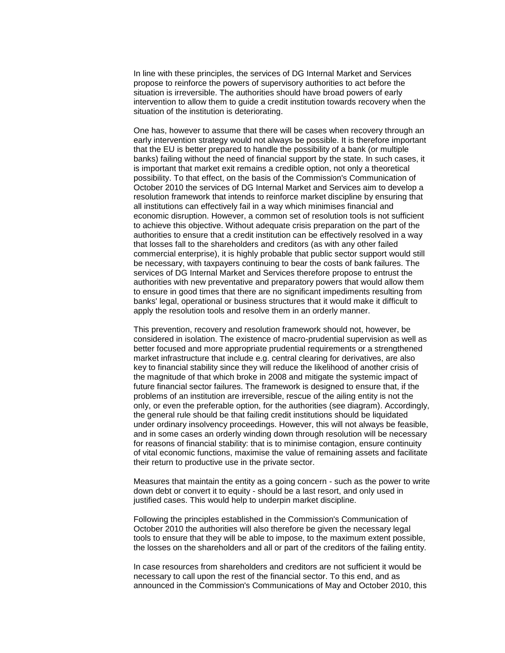In line with these principles, the services of DG Internal Market and Services propose to reinforce the powers of supervisory authorities to act before the situation is irreversible. The authorities should have broad powers of early intervention to allow them to guide a credit institution towards recovery when the situation of the institution is deteriorating.

One has, however to assume that there will be cases when recovery through an early intervention strategy would not always be possible. It is therefore important that the EU is better prepared to handle the possibility of a bank (or multiple banks) failing without the need of financial support by the state. In such cases, it is important that market exit remains a credible option, not only a theoretical possibility. To that effect, on the basis of the Commission's Communication of October 2010 the services of DG Internal Market and Services aim to develop a resolution framework that intends to reinforce market discipline by ensuring that all institutions can effectively fail in a way which minimises financial and economic disruption. However, a common set of resolution tools is not sufficient to achieve this objective. Without adequate crisis preparation on the part of the authorities to ensure that a credit institution can be effectively resolved in a way that losses fall to the shareholders and creditors (as with any other failed commercial enterprise), it is highly probable that public sector support would still be necessary, with taxpayers continuing to bear the costs of bank failures. The services of DG Internal Market and Services therefore propose to entrust the authorities with new preventative and preparatory powers that would allow them to ensure in good times that there are no significant impediments resulting from banks' legal, operational or business structures that it would make it difficult to apply the resolution tools and resolve them in an orderly manner.

This prevention, recovery and resolution framework should not, however, be considered in isolation. The existence of macro-prudential supervision as well as better focused and more appropriate prudential requirements or a strengthened market infrastructure that include e.g. central clearing for derivatives, are also key to financial stability since they will reduce the likelihood of another crisis of the magnitude of that which broke in 2008 and mitigate the systemic impact of future financial sector failures. The framework is designed to ensure that, if the problems of an institution are irreversible, rescue of the ailing entity is not the only, or even the preferable option, for the authorities (see diagram). Accordingly, the general rule should be that failing credit institutions should be liquidated under ordinary insolvency proceedings. However, this will not always be feasible, and in some cases an orderly winding down through resolution will be necessary for reasons of financial stability: that is to minimise contagion, ensure continuity of vital economic functions, maximise the value of remaining assets and facilitate their return to productive use in the private sector.

Measures that maintain the entity as a going concern - such as the power to write down debt or convert it to equity - should be a last resort, and only used in justified cases. This would help to underpin market discipline.

Following the principles established in the Commission's Communication of October 2010 the authorities will also therefore be given the necessary legal tools to ensure that they will be able to impose, to the maximum extent possible, the losses on the shareholders and all or part of the creditors of the failing entity.

In case resources from shareholders and creditors are not sufficient it would be necessary to call upon the rest of the financial sector. To this end, and as announced in the Commission's Communications of May and October 2010, this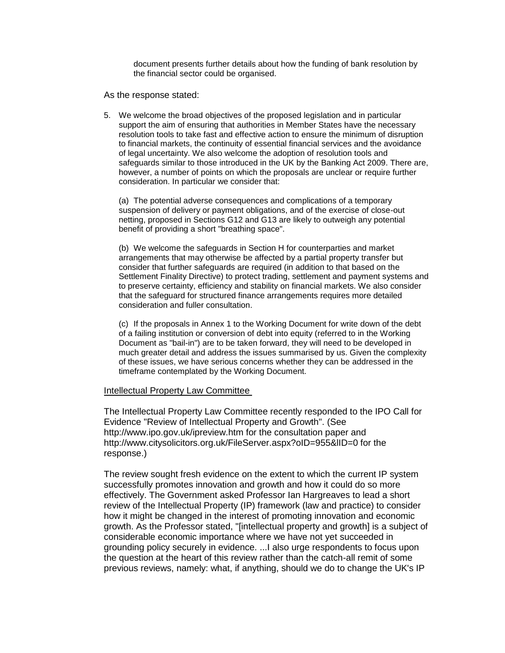document presents further details about how the funding of bank resolution by the financial sector could be organised.

As the response stated:

5. We welcome the broad objectives of the proposed legislation and in particular support the aim of ensuring that authorities in Member States have the necessary resolution tools to take fast and effective action to ensure the minimum of disruption to financial markets, the continuity of essential financial services and the avoidance of legal uncertainty. We also welcome the adoption of resolution tools and safeguards similar to those introduced in the UK by the Banking Act 2009. There are, however, a number of points on which the proposals are unclear or require further consideration. In particular we consider that:

(a) The potential adverse consequences and complications of a temporary suspension of delivery or payment obligations, and of the exercise of close-out netting, proposed in Sections G12 and G13 are likely to outweigh any potential benefit of providing a short "breathing space".

(b) We welcome the safeguards in Section H for counterparties and market arrangements that may otherwise be affected by a partial property transfer but consider that further safeguards are required (in addition to that based on the Settlement Finality Directive) to protect trading, settlement and payment systems and to preserve certainty, efficiency and stability on financial markets. We also consider that the safeguard for structured finance arrangements requires more detailed consideration and fuller consultation.

(c) If the proposals in Annex 1 to the Working Document for write down of the debt of a failing institution or conversion of debt into equity (referred to in the Working Document as "bail-in") are to be taken forward, they will need to be developed in much greater detail and address the issues summarised by us. Given the complexity of these issues, we have serious concerns whether they can be addressed in the timeframe contemplated by the Working Document.

### Intellectual Property Law Committee

The Intellectual Property Law Committee recently responded to the IPO Call for Evidence "Review of Intellectual Property and Growth". (See http://www.ipo.gov.uk/ipreview.htm for the consultation paper and http://www.citysolicitors.org.uk/FileServer.aspx?oID=955&lID=0 for the response.)

The review sought fresh evidence on the extent to which the current IP system successfully promotes innovation and growth and how it could do so more effectively. The Government asked Professor Ian Hargreaves to lead a short review of the Intellectual Property (IP) framework (law and practice) to consider how it might be changed in the interest of promoting innovation and economic growth. As the Professor stated, "[intellectual property and growth] is a subject of considerable economic importance where we have not yet succeeded in grounding policy securely in evidence. ...I also urge respondents to focus upon the question at the heart of this review rather than the catch-all remit of some previous reviews, namely: what, if anything, should we do to change the UK's IP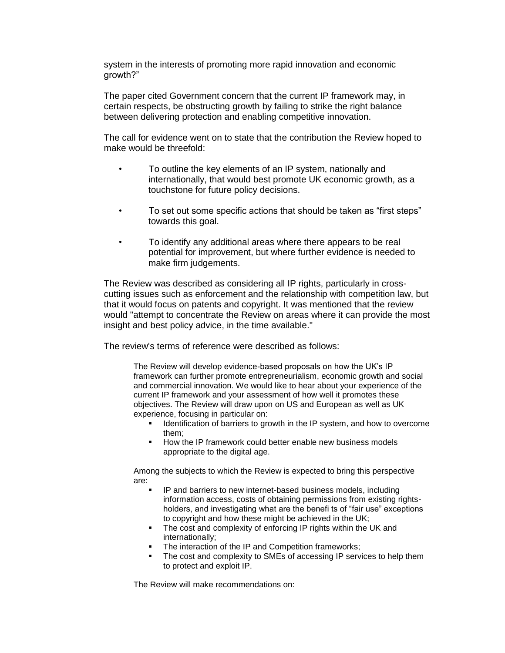system in the interests of promoting more rapid innovation and economic growth?"

The paper cited Government concern that the current IP framework may, in certain respects, be obstructing growth by failing to strike the right balance between delivering protection and enabling competitive innovation.

The call for evidence went on to state that the contribution the Review hoped to make would be threefold:

- To outline the key elements of an IP system, nationally and internationally, that would best promote UK economic growth, as a touchstone for future policy decisions.
- To set out some specific actions that should be taken as "first steps" towards this goal.
- To identify any additional areas where there appears to be real potential for improvement, but where further evidence is needed to make firm judgements.

The Review was described as considering all IP rights, particularly in crosscutting issues such as enforcement and the relationship with competition law, but that it would focus on patents and copyright. It was mentioned that the review would "attempt to concentrate the Review on areas where it can provide the most insight and best policy advice, in the time available."

The review's terms of reference were described as follows:

The Review will develop evidence-based proposals on how the UK's IP framework can further promote entrepreneurialism, economic growth and social and commercial innovation. We would like to hear about your experience of the current IP framework and your assessment of how well it promotes these objectives. The Review will draw upon on US and European as well as UK experience, focusing in particular on:

- **IDENT** Identification of barriers to growth in the IP system, and how to overcome them;
- How the IP framework could better enable new business models appropriate to the digital age.

Among the subjects to which the Review is expected to bring this perspective are:

- IP and barriers to new internet-based business models, including information access, costs of obtaining permissions from existing rightsholders, and investigating what are the benefi ts of "fair use" exceptions to copyright and how these might be achieved in the UK;
- The cost and complexity of enforcing IP rights within the UK and internationally;
- The interaction of the IP and Competition frameworks;
- The cost and complexity to SMEs of accessing IP services to help them to protect and exploit IP.

The Review will make recommendations on: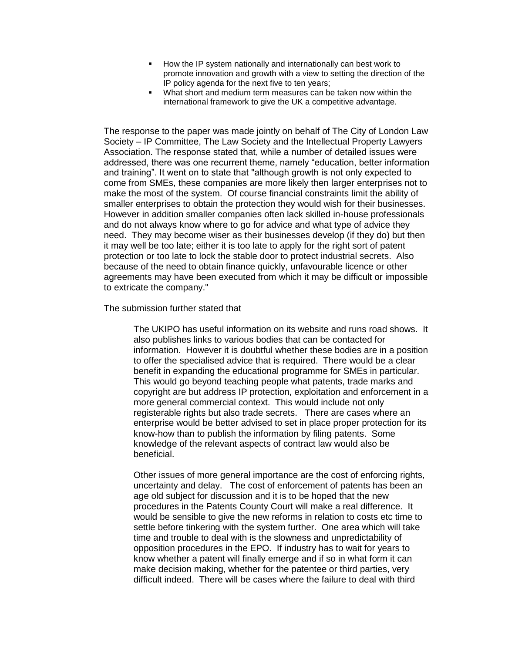- How the IP system nationally and internationally can best work to promote innovation and growth with a view to setting the direction of the IP policy agenda for the next five to ten years;
- What short and medium term measures can be taken now within the international framework to give the UK a competitive advantage.

The response to the paper was made jointly on behalf of The City of London Law Society – IP Committee, The Law Society and the Intellectual Property Lawyers Association. The response stated that, while a number of detailed issues were addressed, there was one recurrent theme, namely "education, better information and training". It went on to state that "although growth is not only expected to come from SMEs, these companies are more likely then larger enterprises not to make the most of the system. Of course financial constraints limit the ability of smaller enterprises to obtain the protection they would wish for their businesses. However in addition smaller companies often lack skilled in-house professionals and do not always know where to go for advice and what type of advice they need. They may become wiser as their businesses develop (if they do) but then it may well be too late; either it is too late to apply for the right sort of patent protection or too late to lock the stable door to protect industrial secrets. Also because of the need to obtain finance quickly, unfavourable licence or other agreements may have been executed from which it may be difficult or impossible to extricate the company."

The submission further stated that

The UKIPO has useful information on its website and runs road shows. It also publishes links to various bodies that can be contacted for information. However it is doubtful whether these bodies are in a position to offer the specialised advice that is required. There would be a clear benefit in expanding the educational programme for SMEs in particular. This would go beyond teaching people what patents, trade marks and copyright are but address IP protection, exploitation and enforcement in a more general commercial context. This would include not only registerable rights but also trade secrets. There are cases where an enterprise would be better advised to set in place proper protection for its know-how than to publish the information by filing patents. Some knowledge of the relevant aspects of contract law would also be beneficial.

Other issues of more general importance are the cost of enforcing rights, uncertainty and delay. The cost of enforcement of patents has been an age old subject for discussion and it is to be hoped that the new procedures in the Patents County Court will make a real difference. It would be sensible to give the new reforms in relation to costs etc time to settle before tinkering with the system further. One area which will take time and trouble to deal with is the slowness and unpredictability of opposition procedures in the EPO. If industry has to wait for years to know whether a patent will finally emerge and if so in what form it can make decision making, whether for the patentee or third parties, very difficult indeed. There will be cases where the failure to deal with third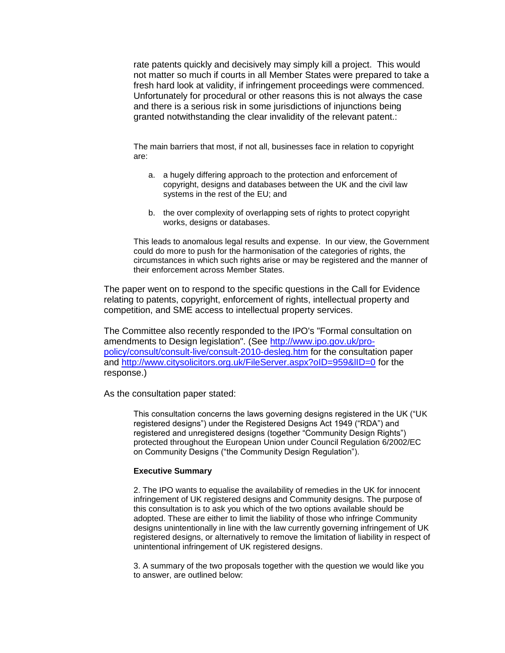rate patents quickly and decisively may simply kill a project. This would not matter so much if courts in all Member States were prepared to take a fresh hard look at validity, if infringement proceedings were commenced. Unfortunately for procedural or other reasons this is not always the case and there is a serious risk in some jurisdictions of injunctions being granted notwithstanding the clear invalidity of the relevant patent.:

The main barriers that most, if not all, businesses face in relation to copyright are:

- a. a hugely differing approach to the protection and enforcement of copyright, designs and databases between the UK and the civil law systems in the rest of the EU; and
- b. the over complexity of overlapping sets of rights to protect copyright works, designs or databases.

This leads to anomalous legal results and expense. In our view, the Government could do more to push for the harmonisation of the categories of rights, the circumstances in which such rights arise or may be registered and the manner of their enforcement across Member States.

The paper went on to respond to the specific questions in the Call for Evidence relating to patents, copyright, enforcement of rights, intellectual property and competition, and SME access to intellectual property services.

The Committee also recently responded to the IPO's "Formal consultation on amendments to Design legislation". (See [http://www.ipo.gov.uk/pro](http://www.ipo.gov.uk/pro-policy/consult/consult-live/consult-2010-desleg.htm)[policy/consult/consult-live/consult-2010-desleg.htm](http://www.ipo.gov.uk/pro-policy/consult/consult-live/consult-2010-desleg.htm) for the consultation paper and<http://www.citysolicitors.org.uk/FileServer.aspx?oID=959&lID=0> for the response.)

As the consultation paper stated:

This consultation concerns the laws governing designs registered in the UK ("UK registered designs") under the Registered Designs Act 1949 ("RDA") and registered and unregistered designs (together "Community Design Rights") protected throughout the European Union under Council Regulation 6/2002/EC on Community Designs ("the Community Design Regulation").

#### **Executive Summary**

2. The IPO wants to equalise the availability of remedies in the UK for innocent infringement of UK registered designs and Community designs. The purpose of this consultation is to ask you which of the two options available should be adopted. These are either to limit the liability of those who infringe Community designs unintentionally in line with the law currently governing infringement of UK registered designs, or alternatively to remove the limitation of liability in respect of unintentional infringement of UK registered designs.

3. A summary of the two proposals together with the question we would like you to answer, are outlined below: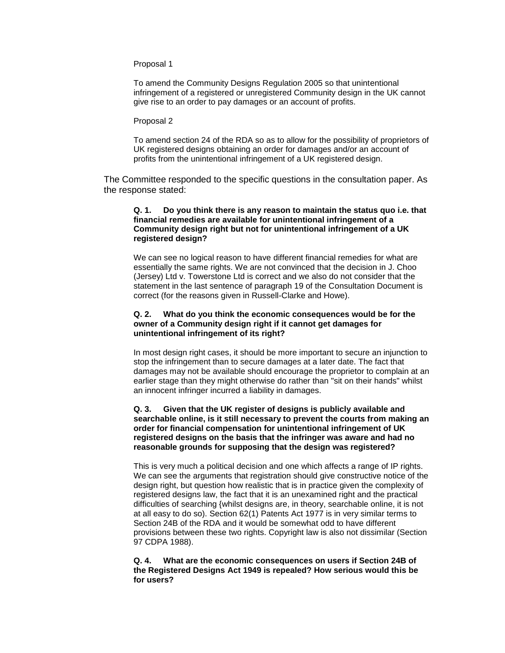Proposal 1

To amend the Community Designs Regulation 2005 so that unintentional infringement of a registered or unregistered Community design in the UK cannot give rise to an order to pay damages or an account of profits.

#### Proposal 2

To amend section 24 of the RDA so as to allow for the possibility of proprietors of UK registered designs obtaining an order for damages and/or an account of profits from the unintentional infringement of a UK registered design.

The Committee responded to the specific questions in the consultation paper. As the response stated:

### **Q. 1. Do you think there is any reason to maintain the status quo i.e. that financial remedies are available for unintentional infringement of a Community design right but not for unintentional infringement of a UK registered design?**

We can see no logical reason to have different financial remedies for what are essentially the same rights. We are not convinced that the decision in J. Choo (Jersey) Ltd v. Towerstone Ltd is correct and we also do not consider that the statement in the last sentence of paragraph 19 of the Consultation Document is correct (for the reasons given in Russell-Clarke and Howe).

### **Q. 2. What do you think the economic consequences would be for the owner of a Community design right if it cannot get damages for unintentional infringement of its right?**

In most design right cases, it should be more important to secure an injunction to stop the infringement than to secure damages at a later date. The fact that damages may not be available should encourage the proprietor to complain at an earlier stage than they might otherwise do rather than "sit on their hands" whilst an innocent infringer incurred a liability in damages.

### **Q. 3. Given that the UK register of designs is publicly available and searchable online, is it still necessary to prevent the courts from making an order for financial compensation for unintentional infringement of UK registered designs on the basis that the infringer was aware and had no reasonable grounds for supposing that the design was registered?**

This is very much a political decision and one which affects a range of IP rights. We can see the arguments that registration should give constructive notice of the design right, but question how realistic that is in practice given the complexity of registered designs law, the fact that it is an unexamined right and the practical difficulties of searching {whilst designs are, in theory, searchable online, it is not at all easy to do so). Section 62(1) Patents Act 1977 is in very similar terms to Section 24B of the RDA and it would be somewhat odd to have different provisions between these two rights. Copyright law is also not dissimilar (Section 97 CDPA 1988).

#### **Q. 4. What are the economic consequences on users if Section 24B of the Registered Designs Act 1949 is repealed? How serious would this be for users?**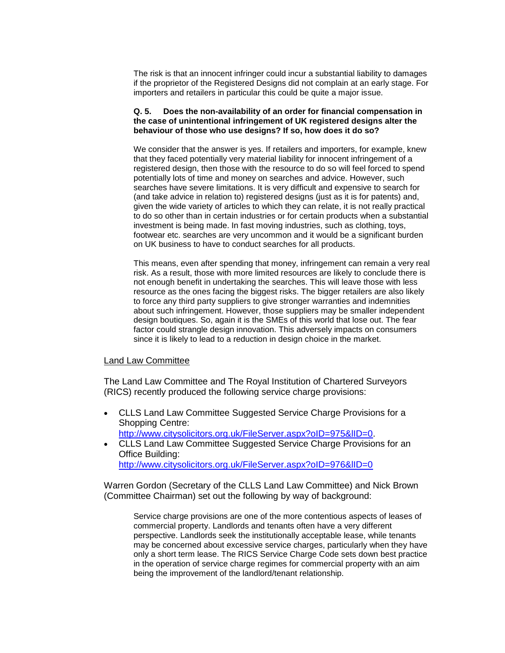The risk is that an innocent infringer could incur a substantial liability to damages if the proprietor of the Registered Designs did not complain at an early stage. For importers and retailers in particular this could be quite a major issue.

#### **Q. 5. Does the non-availability of an order for financial compensation in the case of unintentional infringement of UK registered designs alter the behaviour of those who use designs? If so, how does it do so?**

We consider that the answer is yes. If retailers and importers, for example, knew that they faced potentially very material liability for innocent infringement of a registered design, then those with the resource to do so will feel forced to spend potentially lots of time and money on searches and advice. However, such searches have severe limitations. It is very difficult and expensive to search for (and take advice in relation to) registered designs (just as it is for patents) and, given the wide variety of articles to which they can relate, it is not really practical to do so other than in certain industries or for certain products when a substantial investment is being made. In fast moving industries, such as clothing, toys, footwear etc. searches are very uncommon and it would be a significant burden on UK business to have to conduct searches for all products.

This means, even after spending that money, infringement can remain a very real risk. As a result, those with more limited resources are likely to conclude there is not enough benefit in undertaking the searches. This will leave those with less resource as the ones facing the biggest risks. The bigger retailers are also likely to force any third party suppliers to give stronger warranties and indemnities about such infringement. However, those suppliers may be smaller independent design boutiques. So, again it is the SMEs of this world that lose out. The fear factor could strangle design innovation. This adversely impacts on consumers since it is likely to lead to a reduction in design choice in the market.

## Land Law Committee

The Land Law Committee and The Royal Institution of Chartered Surveyors (RICS) recently produced the following service charge provisions:

- CLLS Land Law Committee Suggested Service Charge Provisions for a Shopping Centre: http://www.citysolicitors.org.uk/FileServer.aspx?oID=975&IID=0.
- CLLS Land Law Committee Suggested Service Charge Provisions for an Office Building: <http://www.citysolicitors.org.uk/FileServer.aspx?oID=976&lID=0>

Warren Gordon (Secretary of the CLLS Land Law Committee) and Nick Brown (Committee Chairman) set out the following by way of background:

Service charge provisions are one of the more contentious aspects of leases of commercial property. Landlords and tenants often have a very different perspective. Landlords seek the institutionally acceptable lease, while tenants may be concerned about excessive service charges, particularly when they have only a short term lease. The RICS Service Charge Code sets down best practice in the operation of service charge regimes for commercial property with an aim being the improvement of the landlord/tenant relationship.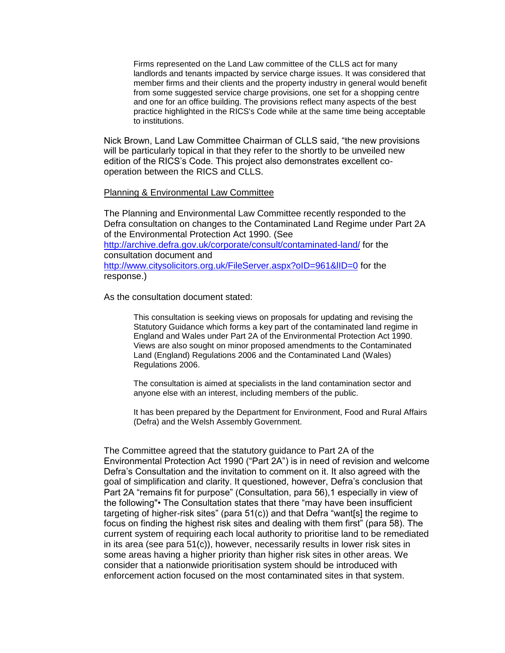Firms represented on the Land Law committee of the CLLS act for many landlords and tenants impacted by service charge issues. It was considered that member firms and their clients and the property industry in general would benefit from some suggested service charge provisions, one set for a shopping centre and one for an office building. The provisions reflect many aspects of the best practice highlighted in the RICS's Code while at the same time being acceptable to institutions.

Nick Brown, Land Law Committee Chairman of CLLS said, "the new provisions will be particularly topical in that they refer to the shortly to be unveiled new edition of the RICS's Code. This project also demonstrates excellent cooperation between the RICS and CLLS.

### Planning & Environmental Law Committee

The Planning and Environmental Law Committee recently responded to the Defra consultation on changes to the Contaminated Land Regime under Part 2A of the Environmental Protection Act 1990. (See <http://archive.defra.gov.uk/corporate/consult/contaminated-land/> for the consultation document and <http://www.citysolicitors.org.uk/FileServer.aspx?oID=961&lID=0> for the response.)

As the consultation document stated:

This consultation is seeking views on proposals for updating and revising the Statutory Guidance which forms a key part of the contaminated land regime in England and Wales under Part 2A of the Environmental Protection Act 1990. Views are also sought on minor proposed amendments to the Contaminated Land (England) Regulations 2006 and the Contaminated Land (Wales) Regulations 2006.

The consultation is aimed at specialists in the land contamination sector and anyone else with an interest, including members of the public.

It has been prepared by the Department for Environment, Food and Rural Affairs (Defra) and the Welsh Assembly Government.

The Committee agreed that the statutory guidance to Part 2A of the Environmental Protection Act 1990 ("Part 2A") is in need of revision and welcome Defra's Consultation and the invitation to comment on it. It also agreed with the goal of simplification and clarity. It questioned, however, Defra's conclusion that Part 2A "remains fit for purpose" (Consultation, para 56), 1 especially in view of the following"• The Consultation states that there "may have been insufficient targeting of higher-risk sites" (para 51(c)) and that Defra "want[s] the regime to focus on finding the highest risk sites and dealing with them first" (para 58). The current system of requiring each local authority to prioritise land to be remediated in its area (see para 51(c)), however, necessarily results in lower risk sites in some areas having a higher priority than higher risk sites in other areas. We consider that a nationwide prioritisation system should be introduced with enforcement action focused on the most contaminated sites in that system.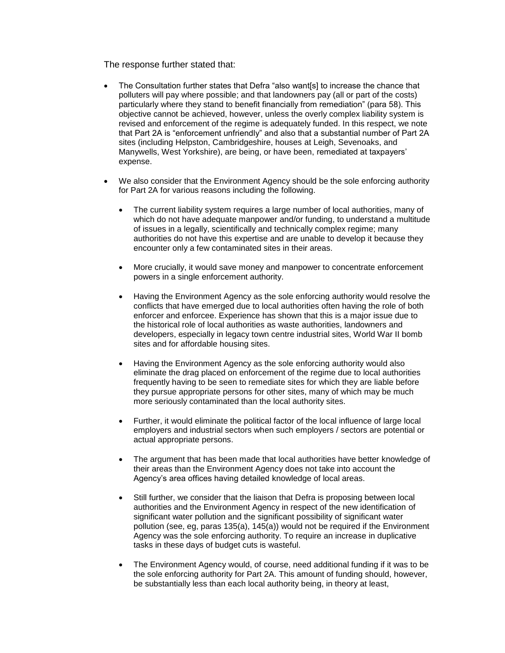The response further stated that:

- The Consultation further states that Defra "also want[s] to increase the chance that polluters will pay where possible; and that landowners pay (all or part of the costs) particularly where they stand to benefit financially from remediation" (para 58). This objective cannot be achieved, however, unless the overly complex liability system is revised and enforcement of the regime is adequately funded. In this respect, we note that Part 2A is "enforcement unfriendly" and also that a substantial number of Part 2A sites (including Helpston, Cambridgeshire, houses at Leigh, Sevenoaks, and Manywells, West Yorkshire), are being, or have been, remediated at taxpayers' expense.
- We also consider that the Environment Agency should be the sole enforcing authority for Part 2A for various reasons including the following.
	- The current liability system requires a large number of local authorities, many of which do not have adequate manpower and/or funding, to understand a multitude of issues in a legally, scientifically and technically complex regime; many authorities do not have this expertise and are unable to develop it because they encounter only a few contaminated sites in their areas.
	- More crucially, it would save money and manpower to concentrate enforcement powers in a single enforcement authority.
	- Having the Environment Agency as the sole enforcing authority would resolve the conflicts that have emerged due to local authorities often having the role of both enforcer and enforcee. Experience has shown that this is a major issue due to the historical role of local authorities as waste authorities, landowners and developers, especially in legacy town centre industrial sites, World War II bomb sites and for affordable housing sites.
	- Having the Environment Agency as the sole enforcing authority would also eliminate the drag placed on enforcement of the regime due to local authorities frequently having to be seen to remediate sites for which they are liable before they pursue appropriate persons for other sites, many of which may be much more seriously contaminated than the local authority sites.
	- Further, it would eliminate the political factor of the local influence of large local employers and industrial sectors when such employers / sectors are potential or actual appropriate persons.
	- The argument that has been made that local authorities have better knowledge of their areas than the Environment Agency does not take into account the Agency's area offices having detailed knowledge of local areas.
	- Still further, we consider that the liaison that Defra is proposing between local authorities and the Environment Agency in respect of the new identification of significant water pollution and the significant possibility of significant water pollution (see, eg, paras 135(a), 145(a)) would not be required if the Environment Agency was the sole enforcing authority. To require an increase in duplicative tasks in these days of budget cuts is wasteful.
	- The Environment Agency would, of course, need additional funding if it was to be the sole enforcing authority for Part 2A. This amount of funding should, however, be substantially less than each local authority being, in theory at least,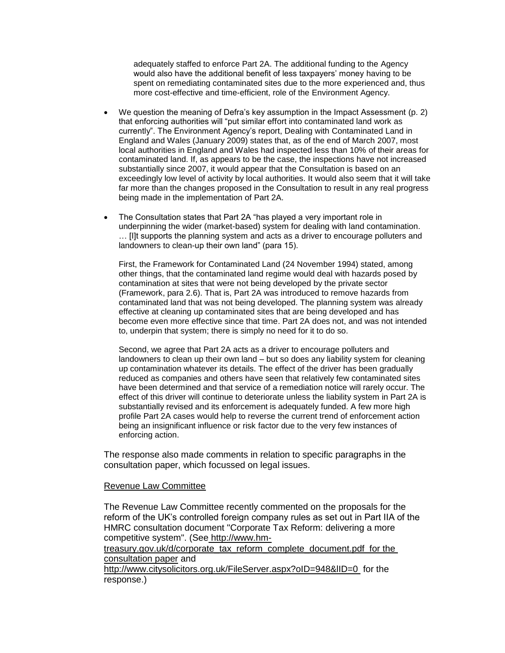adequately staffed to enforce Part 2A. The additional funding to the Agency would also have the additional benefit of less taxpayers' money having to be spent on remediating contaminated sites due to the more experienced and, thus more cost-effective and time-efficient, role of the Environment Agency.

- We question the meaning of Defra's key assumption in the Impact Assessment (p. 2) that enforcing authorities will "put similar effort into contaminated land work as currently". The Environment Agency's report, Dealing with Contaminated Land in England and Wales (January 2009) states that, as of the end of March 2007, most local authorities in England and Wales had inspected less than 10% of their areas for contaminated land. If, as appears to be the case, the inspections have not increased substantially since 2007, it would appear that the Consultation is based on an exceedingly low level of activity by local authorities. It would also seem that it will take far more than the changes proposed in the Consultation to result in any real progress being made in the implementation of Part 2A.
- The Consultation states that Part 2A "has played a very important role in underpinning the wider (market-based) system for dealing with land contamination. … [I]t supports the planning system and acts as a driver to encourage polluters and landowners to clean-up their own land" (para 15).

First, the Framework for Contaminated Land (24 November 1994) stated, among other things, that the contaminated land regime would deal with hazards posed by contamination at sites that were not being developed by the private sector (Framework, para 2.6). That is, Part 2A was introduced to remove hazards from contaminated land that was not being developed. The planning system was already effective at cleaning up contaminated sites that are being developed and has become even more effective since that time. Part 2A does not, and was not intended to, underpin that system; there is simply no need for it to do so.

Second, we agree that Part 2A acts as a driver to encourage polluters and landowners to clean up their own land – but so does any liability system for cleaning up contamination whatever its details. The effect of the driver has been gradually reduced as companies and others have seen that relatively few contaminated sites have been determined and that service of a remediation notice will rarely occur. The effect of this driver will continue to deteriorate unless the liability system in Part 2A is substantially revised and its enforcement is adequately funded. A few more high profile Part 2A cases would help to reverse the current trend of enforcement action being an insignificant influence or risk factor due to the very few instances of enforcing action.

The response also made comments in relation to specific paragraphs in the consultation paper, which focussed on legal issues.

### Revenue Law Committee

The Revenue Law Committee recently commented on the proposals for the reform of the UK's controlled foreign company rules as set out in Part IIA of the HMRC consultation document "Corporate Tax Reform: delivering a more competitive system". (See http://www.hm-

treasury.gov.uk/d/corporate\_tax\_reform\_complete\_document.pdf for the consultation paper and

http://www.citysolicitors.org.uk/FileServer.aspx?oID=948&lID=0 for the response.)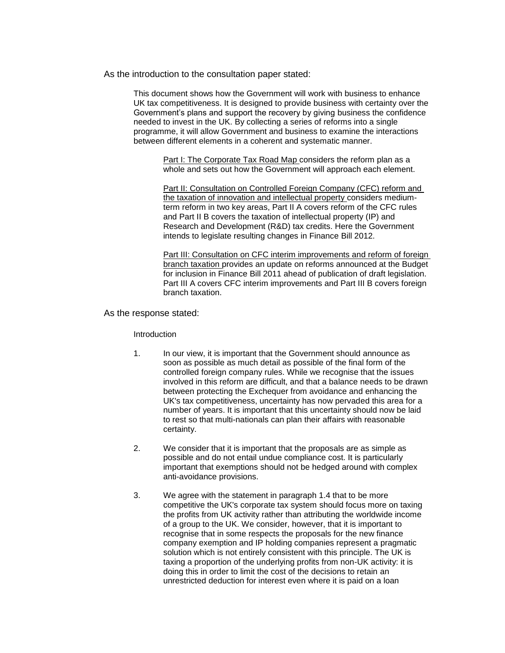#### As the introduction to the consultation paper stated:

This document shows how the Government will work with business to enhance UK tax competitiveness. It is designed to provide business with certainty over the Government's plans and support the recovery by giving business the confidence needed to invest in the UK. By collecting a series of reforms into a single programme, it will allow Government and business to examine the interactions between different elements in a coherent and systematic manner.

Part I: The Corporate Tax Road Map considers the reform plan as a whole and sets out how the Government will approach each element.

Part II: Consultation on Controlled Foreign Company (CFC) reform and the taxation of innovation and intellectual property considers mediumterm reform in two key areas, Part II A covers reform of the CFC rules and Part II B covers the taxation of intellectual property (IP) and Research and Development (R&D) tax credits. Here the Government intends to legislate resulting changes in Finance Bill 2012.

Part III: Consultation on CFC interim improvements and reform of foreign branch taxation provides an update on reforms announced at the Budget for inclusion in Finance Bill 2011 ahead of publication of draft legislation. Part III A covers CFC interim improvements and Part III B covers foreign branch taxation.

As the response stated:

#### Introduction

- 1. In our view, it is important that the Government should announce as soon as possible as much detail as possible of the final form of the controlled foreign company rules. While we recognise that the issues involved in this reform are difficult, and that a balance needs to be drawn between protecting the Exchequer from avoidance and enhancing the UK's tax competitiveness, uncertainty has now pervaded this area for a number of years. It is important that this uncertainty should now be laid to rest so that multi-nationals can plan their affairs with reasonable certainty.
- 2. We consider that it is important that the proposals are as simple as possible and do not entail undue compliance cost. It is particularly important that exemptions should not be hedged around with complex anti-avoidance provisions.
- 3. We agree with the statement in paragraph 1.4 that to be more competitive the UK's corporate tax system should focus more on taxing the profits from UK activity rather than attributing the worldwide income of a group to the UK. We consider, however, that it is important to recognise that in some respects the proposals for the new finance company exemption and IP holding companies represent a pragmatic solution which is not entirely consistent with this principle. The UK is taxing a proportion of the underlying profits from non-UK activity: it is doing this in order to limit the cost of the decisions to retain an unrestricted deduction for interest even where it is paid on a loan